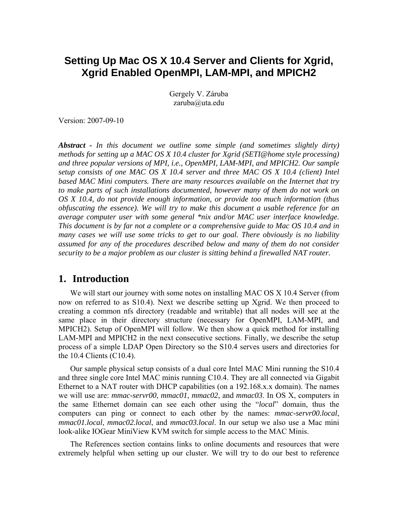# **Setting Up Mac OS X 10.4 Server and Clients for Xgrid, Xgrid Enabled OpenMPI, LAM-MPI, and MPICH2**

Gergely V. Záruba zaruba@uta.edu

Version: 2007-09-10

*Abstract - In this document we outline some simple (and sometimes slightly dirty) methods for setting up a MAC OS X 10.4 cluster for Xgrid (SETI@home style processing) and three popular versions of MPI, i.e., OpenMPI, LAM-MPI, and MPICH2. Our sample setup consists of one MAC OS X 10.4 server and three MAC OS X 10.4 (client) Intel based MAC Mini computers. There are many resources available on the Internet that try*  to make parts of such installations documented, however many of them do not work on *OS X 10.4, do not provide enough information, or provide too much information (thus obfuscating the essence). We will try to make this document a usable reference for an average computer user with some general \*nix and/or MAC user interface knowledge. This document is by far not a complete or a comprehensive guide to Mac OS 10.4 and in many cases we will use some tricks to get to our goal. There obviously is no liability assumed for any of the procedures described below and many of them do not consider security to be a major problem as our cluster is sitting behind a firewalled NAT router.*

## **1. Introduction**

We will start our journey with some notes on installing MAC OS X 10.4 Server (from now on referred to as S10.4). Next we describe setting up Xgrid. We then proceed to creating a common nfs directory (readable and writable) that all nodes will see at the same place in their directory structure (necessary for OpenMPI, LAM-MPI, and MPICH2). Setup of OpenMPI will follow. We then show a quick method for installing LAM-MPI and MPICH2 in the next consecutive sections. Finally, we describe the setup process of a simple LDAP Open Directory so the S10.4 serves users and directories for the 10.4 Clients (C10.4).

Our sample physical setup consists of a dual core Intel MAC Mini running the S10.4 and three single core Intel MAC minis running C10.4. They are all connected via Gigabit Ethernet to a NAT router with DHCP capabilities (on a 192.168.x.x domain). The names we will use are: *mmac-servr00*, *mmac01*, *mmac02*, and *mmac03*. In OS X, computers in the same Ethernet domain can see each other using the "*local*" domain, thus the computers can ping or connect to each other by the names: *mmac-servr00.local*, *mmac01.local*, *mmac02.local*, and *mmac03.local*. In our setup we also use a Mac mini look-alike IOGear MiniView KVM switch for simple access to the MAC Minis.

The References section contains links to online documents and resources that were extremely helpful when setting up our cluster. We will try to do our best to reference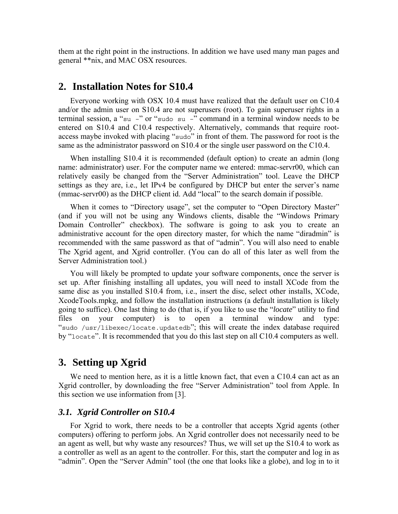them at the right point in the instructions. In addition we have used many man pages and general \*\*nix, and MAC OSX resources.

### **2. Installation Notes for S10.4**

Everyone working with OSX 10.4 must have realized that the default user on C10.4 and/or the admin user on S10.4 are not superusers (root). To gain superuser rights in a terminal session, a "su –" or "sudo su –" command in a terminal window needs to be entered on S10.4 and C10.4 respectively. Alternatively, commands that require rootaccess maybe invoked with placing "sudo" in front of them. The password for root is the same as the administrator password on S10.4 or the single user password on the C10.4.

When installing S10.4 it is recommended (default option) to create an admin (long name: administrator) user. For the computer name we entered: mmac-servr00, which can relatively easily be changed from the "Server Administration" tool. Leave the DHCP settings as they are, i.e., let IPv4 be configured by DHCP but enter the server's name (mmac-servr00) as the DHCP client id. Add "local" to the search domain if possible.

When it comes to "Directory usage", set the computer to "Open Directory Master" (and if you will not be using any Windows clients, disable the "Windows Primary Domain Controller" checkbox). The software is going to ask you to create an administrative account for the open directory master, for which the name "diradmin" is recommended with the same password as that of "admin". You will also need to enable The Xgrid agent, and Xgrid controller. (You can do all of this later as well from the Server Administration tool.)

You will likely be prompted to update your software components, once the server is set up. After finishing installing all updates, you will need to install XCode from the same disc as you installed S10.4 from, i.e., insert the disc, select other installs, XCode, XcodeTools.mpkg, and follow the installation instructions (a default installation is likely going to suffice). One last thing to do (that is, if you like to use the "*locate*" utility to find files on your computer) is to open a terminal window and type: "sudo /usr/libexec/locate.updatedb"; this will create the index database required by "locate". It is recommended that you do this last step on all C10.4 computers as well.

## **3. Setting up Xgrid**

We need to mention here, as it is a little known fact, that even a C10.4 can act as an Xgrid controller, by downloading the free "Server Administration" tool from Apple. In this section we use information from [3].

#### *3.1. Xgrid Controller on S10.4*

For Xgrid to work, there needs to be a controller that accepts Xgrid agents (other computers) offering to perform jobs. An Xgrid controller does not necessarily need to be an agent as well, but why waste any resources? Thus, we will set up the S10.4 to work as a controller as well as an agent to the controller. For this, start the computer and log in as "admin". Open the "Server Admin" tool (the one that looks like a globe), and log in to it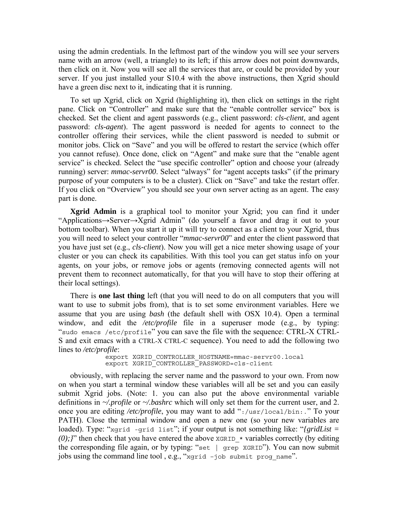using the admin credentials. In the leftmost part of the window you will see your servers name with an arrow (well, a triangle) to its left; if this arrow does not point downwards, then click on it. Now you will see all the services that are, or could be provided by your server. If you just installed your S10.4 with the above instructions, then Xgrid should have a green disc next to it, indicating that it is running.

To set up Xgrid, click on Xgrid (highlighting it), then click on settings in the right pane. Click on "Controller" and make sure that the "enable controller service" box is checked. Set the client and agent passwords (e.g., client password: *cls-client*, and agent password: *cls-agent*). The agent password is needed for agents to connect to the controller offering their services, while the client password is needed to submit or monitor jobs. Click on "Save" and you will be offered to restart the service (which offer you cannot refuse). Once done, click on "Agent" and make sure that the "enable agent service" is checked. Select the "use specific controller" option and choose your (already running) server: *mmac-servr00*. Select "always" for "agent accepts tasks" (if the primary purpose of your computers is to be a cluster). Click on "Save" and take the restart offer. If you click on "Overview" you should see your own server acting as an agent. The easy part is done.

**Xgrid Admin** is a graphical tool to monitor your Xgrid; you can find it under "Applications→Server→Xgrid Admin" (do yourself a favor and drag it out to your bottom toolbar). When you start it up it will try to connect as a client to your Xgrid, thus you will need to select your controller "*mmac-servr00*" and enter the client password that you have just set (e.g., *cls-client*). Now you will get a nice meter showing usage of your cluster or you can check its capabilities. With this tool you can get status info on your agents, on your jobs, or remove jobs or agents (removing connected agents will not prevent them to reconnect automatically, for that you will have to stop their offering at their local settings).

There is **one last thing** left (that you will need to do on all computers that you will want to use to submit jobs from), that is to set some environment variables. Here we assume that you are using *bash* (the default shell with OSX 10.4). Open a terminal window, and edit the */etc/profile* file in a superuser mode (e.g., by typing: "sudo emacs /etc/profile" you can save the file with the sequence: CTRL-X CTRL-S and exit emacs with a CTRL-X CTRL-C sequence). You need to add the following two lines to */etc/profile*:

```
export XGRID CONTROLLER HOSTNAME=mmac-servr00.local
 export XGRID_CONTROLLER_PASSWORD=cls-client
```
obviously, with replacing the server name and the password to your own. From now on when you start a terminal window these variables will all be set and you can easily submit Xgrid jobs. (Note: 1. you can also put the above environmental variable definitions in *~/.profile* or *~/.bashrc* which will only set them for the current user, and 2. once you are editing */etc/profile*, you may want to add ":/usr/local/bin:." To your PATH). Close the terminal window and open a new one (so your new variables are loaded). Type: "xgrid -grid list"; if your output is not something like: "*{gridList =*   $(0)$ ; *}*" then check that you have entered the above xGRID  $*$  variables correctly (by editing the corresponding file again, or by typing: "set | grep XGRID"). You can now submit jobs using the command line tool , e.g., "xgrid –job submit prog\_name".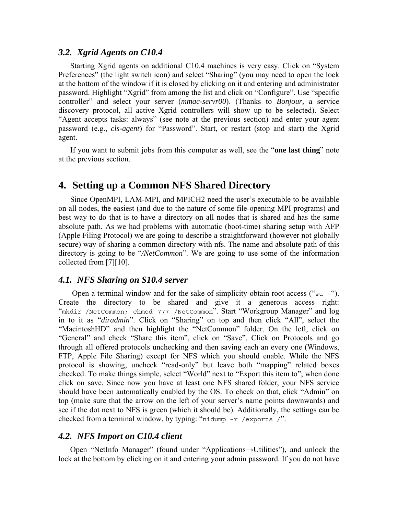#### *3.2. Xgrid Agents on C10.4*

Starting Xgrid agents on additional C10.4 machines is very easy. Click on "System Preferences" (the light switch icon) and select "Sharing" (you may need to open the lock at the bottom of the window if it is closed by clicking on it and entering and administrator password. Highlight "Xgrid" from among the list and click on "Configure". Use "specific controller" and select your server (*mmac-servr00*). (Thanks to *Bonjour,* a service discovery protocol, all active Xgrid controllers will show up to be selected). Select "Agent accepts tasks: always" (see note at the previous section) and enter your agent password (e.g., *cls-agent*) for "Password". Start, or restart (stop and start) the Xgrid agent.

If you want to submit jobs from this computer as well, see the "**one last thing**" note at the previous section.

# **4. Setting up a Common NFS Shared Directory**

Since OpenMPI, LAM-MPI, and MPICH2 need the user's executable to be available on all nodes, the easiest (and due to the nature of some file-opening MPI programs) and best way to do that is to have a directory on all nodes that is shared and has the same absolute path. As we had problems with automatic (boot-time) sharing setup with AFP (Apple Filing Protocol) we are going to describe a straightforward (however not globally secure) way of sharing a common directory with nfs. The name and absolute path of this directory is going to be "*/NetCommon*". We are going to use some of the information collected from [7][10].

#### *4.1. NFS Sharing on S10.4 server*

Open a terminal window and for the sake of simplicity obtain root access (" $\mathfrak{su}$  –"). Create the directory to be shared and give it a generous access right: "mkdir /NetCommon; chmod 777 /NetCommon". Start "Workgroup Manager" and log in to it as "*diradmin*". Click on "Sharing" on top and then click "All", select the "MacintoshHD" and then highlight the "NetCommon" folder. On the left, click on "General" and check "Share this item", click on "Save". Click on Protocols and go through all offered protocols unchecking and then saving each an every one (Windows, FTP, Apple File Sharing) except for NFS which you should enable. While the NFS protocol is showing, uncheck "read-only" but leave both "mapping" related boxes checked. To make things simple, select "World" next to "Export this item to"; when done click on save. Since now you have at least one NFS shared folder, your NFS service should have been automatically enabled by the OS. To check on that, click "Admin" on top (make sure that the arrow on the left of your server's name points downwards) and see if the dot next to NFS is green (which it should be). Additionally, the settings can be checked from a terminal window, by typing: "nidump –r /exports /".

#### *4.2. NFS Import on C10.4 client*

Open "NetInfo Manager" (found under "Applications→Utilities"), and unlock the lock at the bottom by clicking on it and entering your admin password. If you do not have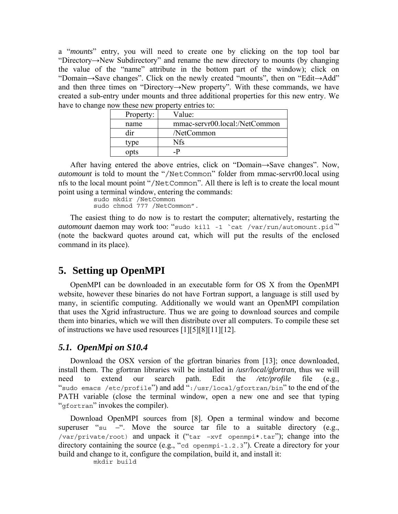a "*mounts*" entry, you will need to create one by clicking on the top tool bar "Directory→New Subdirectory" and rename the new directory to mounts (by changing the value of the "name" attribute in the bottom part of the window); click on "Domain→Save changes". Click on the newly created "mounts", then on "Edit→Add" and then three times on "Directory→New property". With these commands, we have created a sub-entry under mounts and three additional properties for this new entry. We have to change now these new property entries to:

| Property: | Value:                        |
|-----------|-------------------------------|
| name      | mmac-servr00.local:/NetCommon |
| dir       | /NetCommon                    |
| tvne      | Nfs                           |
| opts      | _P                            |

After having entered the above entries, click on "Domain→Save changes". Now, *automount* is told to mount the "/NetCommon" folder from mmac-servr00.local using nfs to the local mount point "/NetCommon". All there is left is to create the local mount point using a terminal window, entering the commands:

> sudo mkdir /NetCommon sudo chmod 777 /NetCommon".

The easiest thing to do now is to restart the computer; alternatively, restarting the *automount* daemon may work too: "sudo kill -1 `cat /var/run/automount.pid*`*" (note the backward quotes around cat, which will put the results of the enclosed command in its place).

# **5. Setting up OpenMPI**

OpenMPI can be downloaded in an executable form for OS X from the OpenMPI website, however these binaries do not have Fortran support, a language is still used by many, in scientific computing. Additionally we would want an OpenMPI compilation that uses the Xgrid infrastructure. Thus we are going to download sources and compile them into binaries, which we will then distribute over all computers. To compile these set of instructions we have used resources [1][5][8][11][12].

### *5.1. OpenMpi on S10.4*

Download the OSX version of the gfortran binaries from [13]; once downloaded, install them. The gfortran libraries will be installed in */usr/local/gfortran*, thus we will need to extend our search path. Edit the */etc/profile* file (e.g., "sudo emacs /etc/profile") and add ":/usr/local/gfortran/bin" to the end of the PATH variable (close the terminal window, open a new one and see that typing "gfortran" invokes the compiler).

Download OpenMPI sources from [8]. Open a terminal window and become superuser "su *–*". Move the source tar file to a suitable directory (e.g., /var/private/root) and unpack it ("tar –xvf openmpi\*.tar"); change into the directory containing the source (e.g., "cd openmpi-1.2.3"). Create a directory for your build and change to it, configure the compilation, build it, and install it:

mkdir build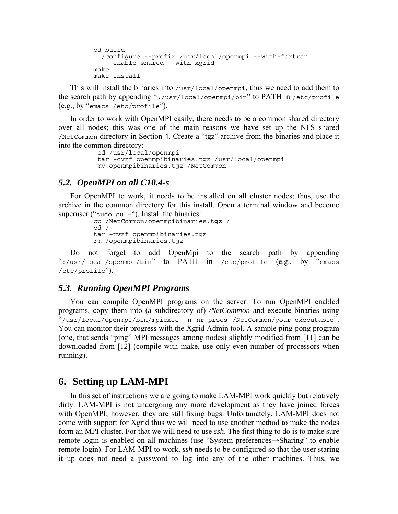```
cd build 
  ./configure --prefix /usr/local/openmpi --with-fortran 
   --enable-shared --with-xgrid 
make 
make install
```
This will install the binaries into /usr/local/openmpi, thus we need to add them to the search path by appending ":/usr/local/openmpi/bin" to PATH in /etc/profile (e.g., by "emacs /etc/profile").

In order to work with OpenMPI easily, there needs to be a common shared directory over all nodes; this was one of the main reasons we have set up the NFS shared /NetCommon directory in Section 4. Create a "tgz" archive from the binaries and place it into the common directory:

```
 cd /usr/local/openmpi 
 tar –cvzf openmpibinaries.tgz /usr/local/openmpi 
 mv openmpibinaries.tgz /NetCommon
```
#### *5.2. OpenMPI on all C10.4-s*

For OpenMPI to work, it needs to be installed on all cluster nodes; thus, use the archive in the common directory for this install. Open a terminal window and become superuser ("sudo su  $-$ "). Install the binaries:

```
cp /NetCommon/openmpibinaries.tgz / 
cd / 
tar –xvzf openmpibinaries.tgz 
rm /openmpibinaries.tgz
```
Do not forget to add OpenMpi to the search path by appending ":/usr/local/openmpi/bin" to PATH in /etc/profile (e.g., by "emacs /etc/profile").

#### *5.3. Running OpenMPI Programs*

You can compile OpenMPI programs on the server. To run OpenMPI enabled programs, copy them into (a subdirectory of) */NetCommon* and execute binaries using "/usr/local/openmpi/bin/mpiexec –n nr\_procs /NetCommon/your\_executable". You can monitor their progress with the Xgrid Admin tool. A sample ping-pong program (one, that sends "ping" MPI messages among nodes) slightly modified from [11] can be downloaded from [12] (compile with make, use only even number of processors when running).

### **6. Setting up LAM-MPI**

In this set of instructions we are going to make LAM-MPI work quickly but relatively dirty. LAM-MPI is not undergoing any more development as they have joined forces with OpenMPI; however, they are still fixing bugs. Unfortunately, LAM-MPI does not come with support for Xgrid thus we will need to use another method to make the nodes form an MPI cluster. For that we will need to use *ssh*. The first thing to do is to make sure remote login is enabled on all machines (use "System preferences→Sharing" to enable remote login). For LAM-MPI to work, *ssh* needs to be configured so that the user staring it up does not need a password to log into any of the other machines. Thus, we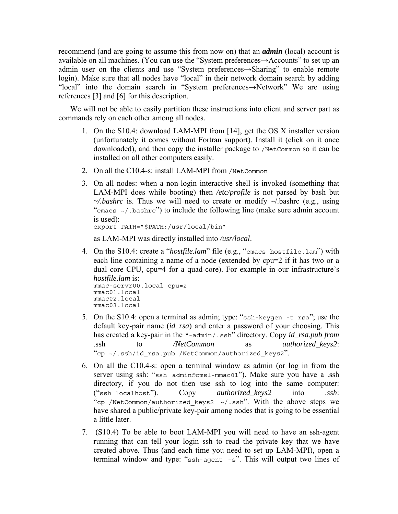recommend (and are going to assume this from now on) that an *admin* (local) account is available on all machines. (You can use the "System preferences→Accounts" to set up an admin user on the clients and use "System preferences→Sharing" to enable remote login). Make sure that all nodes have "local" in their network domain search by adding "local" into the domain search in "System preferences→Network" We are using references [3] and [6] for this description.

We will not be able to easily partition these instructions into client and server part as commands rely on each other among all nodes.

- 1. On the S10.4: download LAM-MPI from [14], get the OS X installer version (unfortunately it comes without Fortran support). Install it (click on it once downloaded), and then copy the installer package to /NetCommon so it can be installed on all other computers easily.
- 2. On all the C10.4-s: install LAM-MPI from /NetCommon
- 3. On all nodes: when a non-login interactive shell is invoked (something that LAM-MPI does while booting) then */etc/profile* is not parsed by bash but  $\sim$ */bashrc* is. Thus we will need to create or modify  $\sim$ /bashrc (e.g., using "emacs  $\sim$ /.bashrc") to include the following line (make sure admin account is used):

export PATH="\$PATH:/usr/local/bin"

as LAM-MPI was directly installed into */usr/local*.

4. On the S10.4: create a "*hostfile.lam*" file (e.g., "emacs hostfile.lam") with each line containing a name of a node (extended by cpu=2 if it has two or a dual core CPU, cpu=4 for a quad-core). For example in our infrastructure's *hostfile.lam* is:

```
mmac-servr00.local cpu=2 
mmac01.local 
mmac02.local 
mmac03.local
```
- 5. On the S10.4: open a terminal as admin; type: "ssh-keygen -t rsa"; use the default key-pair name (*id\_rsa*) and enter a password of your choosing. This has created a key-pair in the "~admin/.ssh" directory. Copy *id\_rsa.pub from* .ssh to */NetCommon* as *authorized\_keys2*: "cp ~/.ssh/id\_rsa.pub /NetCommon/authorized\_keys2".
- 6. On all the C10.4-s: open a terminal window as admin (or log in from the server using ssh: "ssh admin@cmsl-mmac01"). Make sure you have a .ssh directory, if you do not then use ssh to log into the same computer: ("ssh localhost"). Copy *authorized\_keys2* into *.ssh*: "cp /NetCommon/authorized\_keys2 ~/.ssh". With the above steps we have shared a public/private key-pair among nodes that is going to be essential a little later.
- 7. (S10.4) To be able to boot LAM-MPI you will need to have an ssh-agent running that can tell your login ssh to read the private key that we have created above. Thus (and each time you need to set up LAM-MPI), open a terminal window and type: "ssh-agent –s". This will output two lines of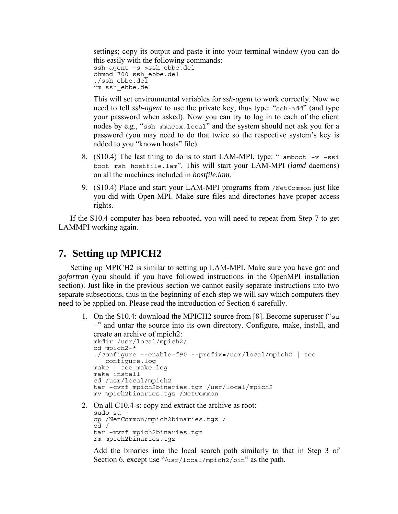settings; copy its output and paste it into your terminal window (you can do this easily with the following commands: ssh-agent -s >ssh ebbe.del

```
chmod 700 ssh ebbe.del
./ssh ebbe.del
rm s\bar{h} ebbe.del
```
This will set environmental variables for *ssh-agent* to work correctly. Now we need to tell *ssh-agent* to use the private key, thus type: "ssh-add" (and type your password when asked). Now you can try to log in to each of the client nodes by e.g., "ssh mmac0x.local" and the system should not ask you for a password (you may need to do that twice so the respective system's key is added to you "known hosts" file).

- 8. (S10.4) The last thing to do is to start LAM-MPI, type: "lamboot  $-v$  –ssi boot rsh hostfile.lam". This will start your LAM-MPI (*lamd* daemons) on all the machines included in *hostfile.lam*.
- 9. (S10.4) Place and start your LAM-MPI programs from /NetCommon just like you did with Open-MPI. Make sure files and directories have proper access rights.

If the S10.4 computer has been rebooted, you will need to repeat from Step 7 to get LAMMPI working again.

# **7. Setting up MPICH2**

Setting up MPICH2 is similar to setting up LAM-MPI. Make sure you have *gcc* and *gofortran* (you should if you have followed instructions in the OpenMPI installation section). Just like in the previous section we cannot easily separate instructions into two separate subsections, thus in the beginning of each step we will say which computers they need to be applied on. Please read the introduction of Section 6 carefully.

1. On the S10.4: download the MPICH2 source from [8]. Become superuser ("su –" and untar the source into its own directory. Configure, make, install, and create an archive of mpich2: mkdir /usr/local/mpich2/ cd mpich2-\*

```
./configure --enable-f90 --prefix=/usr/local/mpich2 | tee 
   configure.log 
make | tee make.log 
make install 
cd /usr/local/mpich2 
tar –cvzf mpich2binaries.tgz /usr/local/mpich2 
mv mpich2binaries.tgz /NetCommon
```
2. On all C10.4-s: copy and extract the archive as root: sudo su cp /NetCommon/mpich2binaries.tgz / cd / tar –xvzf mpich2binaries.tgz rm mpich2binaries.tgz

Add the binaries into the local search path similarly to that in Step 3 of Section 6, except use "/usr/local/mpich2/bin" as the path.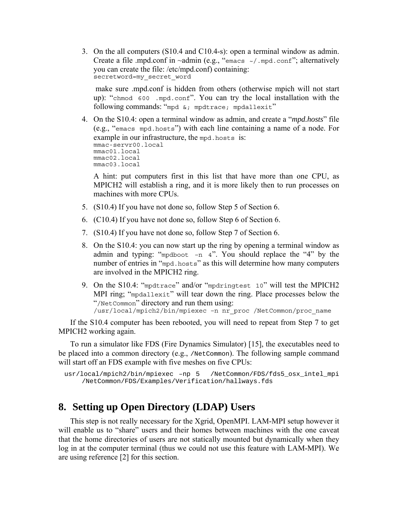3. On the all computers (S10.4 and C10.4-s): open a terminal window as admin. Create a file .mpd.conf in  $\sim$ admin (e.g., "emacs  $\sim$ /.mpd.conf"; alternatively you can create the file: /etc/mpd.conf) containing: secretword=my\_secret\_word

 make sure .mpd.conf is hidden from others (otherwise mpich will not start up): "chmod 600 .mpd.conf". You can try the local installation with the following commands: "mpd  $\&$ ; mpdtrace; mpdallexit"

4. On the S10.4: open a terminal window as admin, and create a "*mpd.hosts*" file (e.g., "emacs mpd.hosts") with each line containing a name of a node. For example in our infrastructure, the mpd.hosts is: mmac-servr00.local mmac01.local mmac02.local mmac03.local

A hint: put computers first in this list that have more than one CPU, as MPICH2 will establish a ring, and it is more likely then to run processes on machines with more CPUs.

- 5. (S10.4) If you have not done so, follow Step 5 of Section 6.
- 6. (C10.4) If you have not done so, follow Step 6 of Section 6.
- 7. (S10.4) If you have not done so, follow Step 7 of Section 6.
- 8. On the S10.4: you can now start up the ring by opening a terminal window as admin and typing: "mpdboot  $-n \frac{4}{1}$ ". You should replace the "4" by the number of entries in "mpd.hosts" as this will determine how many computers are involved in the MPICH2 ring.
- 9. On the S10.4: "mpdtrace" and/or "mpdringtest 10" will test the MPICH2 MPI ring; "mpdallexit" will tear down the ring. Place processes below the "/NetCommon" directory and run them using: /usr/local/mpich2/bin/mpiexec –n nr\_proc /NetCommon/proc\_name

If the S10.4 computer has been rebooted, you will need to repeat from Step 7 to get MPICH2 working again.

To run a simulator like FDS (Fire Dynamics Simulator) [15], the executables need to be placed into a common directory (e.g., /NetCommon). The following sample command will start off an FDS example with five meshes on five CPUs:

```
usr/local/mpich2/bin/mpiexec –np 5 /NetCommon/FDS/fds5_osx_intel_mpi 
    /NetCommon/FDS/Examples/Verification/hallways.fds
```
## **8. Setting up Open Directory (LDAP) Users**

This step is not really necessary for the Xgrid, OpenMPI. LAM-MPI setup however it will enable us to "share" users and their homes between machines with the one caveat that the home directories of users are not statically mounted but dynamically when they log in at the computer terminal (thus we could not use this feature with LAM-MPI). We are using reference [2] for this section.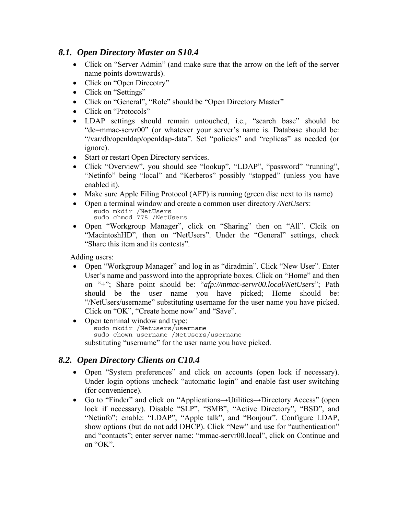## *8.1. Open Directory Master on S10.4*

- Click on "Server Admin" (and make sure that the arrow on the left of the server name points downwards).
- Click on "Open Direcotry"
- Click on "Settings"
- Click on "General", "Role" should be "Open Directory Master"
- Click on "Protocols"
- LDAP settings should remain untouched, i.e., "search base" should be "dc=mmac-servr00" (or whatever your server's name is. Database should be: "/var/db/openldap/openldap-data". Set "policies" and "replicas" as needed (or ignore).
- Start or restart Open Directory services.
- Click "Overview", you should see "lookup", "LDAP", "password" "running", "Netinfo" being "local" and "Kerberos" possibly "stopped" (unless you have enabled it).
- Make sure Apple Filing Protocol (AFP) is running (green disc next to its name)
- Open a terminal window and create a common user directory */NetUsers*: sudo mkdir /NetUsers sudo chmod 775 /NetUsers
- Open "Workgroup Manager", click on "Sharing" then on "All". Clcik on "MacintoshHD", then on "NetUsers". Under the "General" settings, check "Share this item and its contests".

Adding users:

- Open "Workgroup Manager" and log in as "diradmin". Click "New User". Enter User's name and password into the appropriate boxes. Click on "Home" and then on "+"; Share point should be: "*afp://mmac-servr00.local/NetUsers*"; Path should be the user name you have picked; Home should be: "/NetUsers/username" substituting username for the user name you have picked. Click on "OK", "Create home now" and "Save".
- Open terminal window and type: sudo mkdir /Netusers/username sudo chown username /NetUsers/username substituting "username" for the user name you have picked.

## *8.2. Open Directory Clients on C10.4*

- Open "System preferences" and click on accounts (open lock if necessary). Under login options uncheck "automatic login" and enable fast user switching (for convenience).
- Go to "Finder" and click on "Applications→Utilities→Directory Access" (open lock if necessary). Disable "SLP", "SMB", "Active Directory", "BSD", and "Netinfo"; enable: "LDAP", "Apple talk", and "Bonjour". Configure LDAP, show options (but do not add DHCP). Click "New" and use for "authentication" and "contacts"; enter server name: "mmac-servr00.local", click on Continue and on "OK".